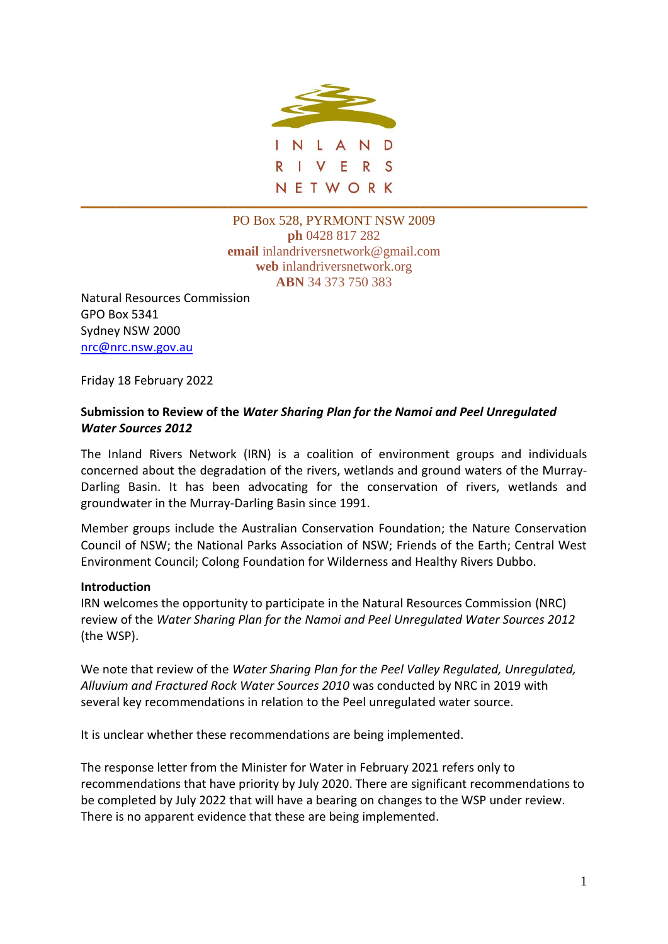

PO Box 528, PYRMONT NSW 2009 **ph** 0428 817 282 **email** inlandriversnetwork@gmail.com **web** inlandriversnetwork.org **ABN** 34 373 750 383

Natural Resources Commission GPO Box 5341 Sydney NSW 2000 [nrc@nrc.nsw.gov.au](mailto:nrc@nrc.nsw.gov.au)

Friday 18 February 2022

## **Submission to Review of the** *Water Sharing Plan for the Namoi and Peel Unregulated Water Sources 2012*

The Inland Rivers Network (IRN) is a coalition of environment groups and individuals concerned about the degradation of the rivers, wetlands and ground waters of the Murray-Darling Basin. It has been advocating for the conservation of rivers, wetlands and groundwater in the Murray-Darling Basin since 1991.

Member groups include the Australian Conservation Foundation; the Nature Conservation Council of NSW; the National Parks Association of NSW; Friends of the Earth; Central West Environment Council; Colong Foundation for Wilderness and Healthy Rivers Dubbo.

### **Introduction**

IRN welcomes the opportunity to participate in the Natural Resources Commission (NRC) review of the *Water Sharing Plan for the Namoi and Peel Unregulated Water Sources 2012* (the WSP).

We note that review of the *Water Sharing Plan for the Peel Valley Regulated, Unregulated, Alluvium and Fractured Rock Water Sources 2010* was conducted by NRC in 2019 with several key recommendations in relation to the Peel unregulated water source.

It is unclear whether these recommendations are being implemented.

The response letter from the Minister for Water in February 2021 refers only to recommendations that have priority by July 2020. There are significant recommendations to be completed by July 2022 that will have a bearing on changes to the WSP under review. There is no apparent evidence that these are being implemented.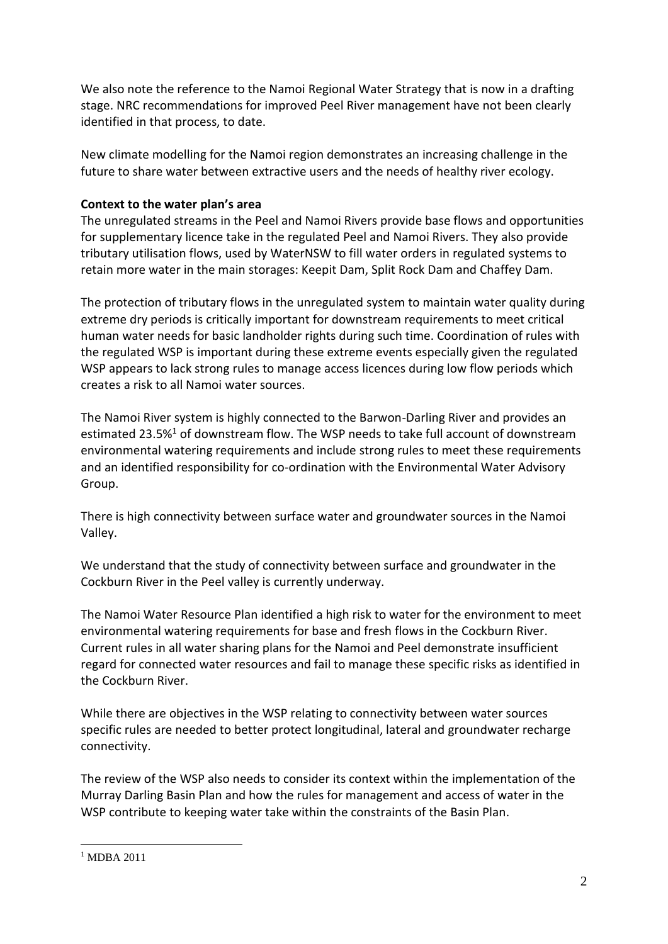We also note the reference to the Namoi Regional Water Strategy that is now in a drafting stage. NRC recommendations for improved Peel River management have not been clearly identified in that process, to date.

New climate modelling for the Namoi region demonstrates an increasing challenge in the future to share water between extractive users and the needs of healthy river ecology.

## **Context to the water plan's area**

The unregulated streams in the Peel and Namoi Rivers provide base flows and opportunities for supplementary licence take in the regulated Peel and Namoi Rivers. They also provide tributary utilisation flows, used by WaterNSW to fill water orders in regulated systems to retain more water in the main storages: Keepit Dam, Split Rock Dam and Chaffey Dam.

The protection of tributary flows in the unregulated system to maintain water quality during extreme dry periods is critically important for downstream requirements to meet critical human water needs for basic landholder rights during such time. Coordination of rules with the regulated WSP is important during these extreme events especially given the regulated WSP appears to lack strong rules to manage access licences during low flow periods which creates a risk to all Namoi water sources.

The Namoi River system is highly connected to the Barwon-Darling River and provides an estimated 23.5%<sup>1</sup> of downstream flow. The WSP needs to take full account of downstream environmental watering requirements and include strong rules to meet these requirements and an identified responsibility for co-ordination with the Environmental Water Advisory Group.

There is high connectivity between surface water and groundwater sources in the Namoi Valley.

We understand that the study of connectivity between surface and groundwater in the Cockburn River in the Peel valley is currently underway.

The Namoi Water Resource Plan identified a high risk to water for the environment to meet environmental watering requirements for base and fresh flows in the Cockburn River. Current rules in all water sharing plans for the Namoi and Peel demonstrate insufficient regard for connected water resources and fail to manage these specific risks as identified in the Cockburn River.

While there are objectives in the WSP relating to connectivity between water sources specific rules are needed to better protect longitudinal, lateral and groundwater recharge connectivity.

The review of the WSP also needs to consider its context within the implementation of the Murray Darling Basin Plan and how the rules for management and access of water in the WSP contribute to keeping water take within the constraints of the Basin Plan.

 $1$  MDBA 2011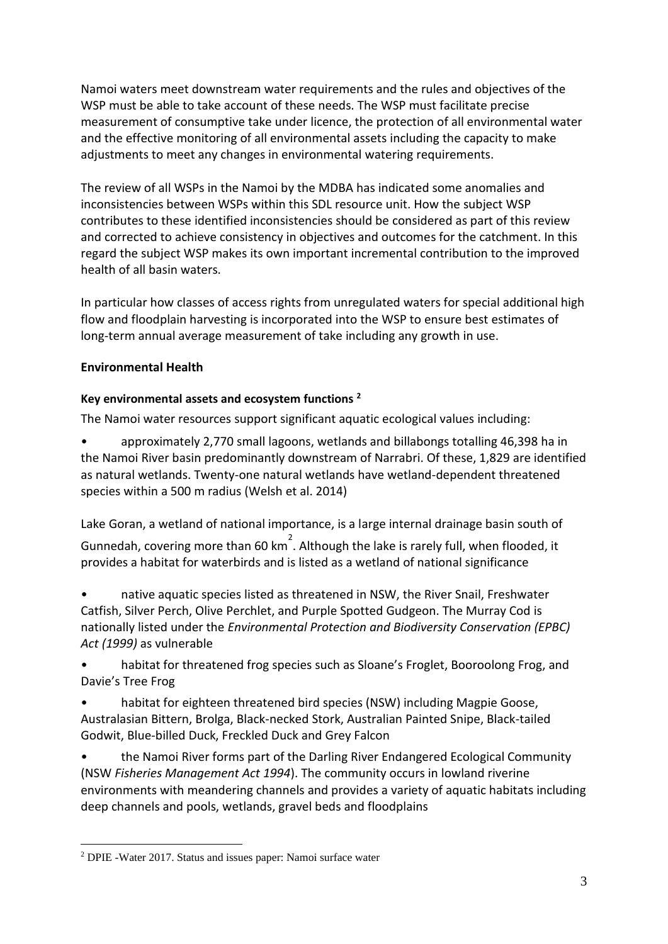Namoi waters meet downstream water requirements and the rules and objectives of the WSP must be able to take account of these needs. The WSP must facilitate precise measurement of consumptive take under licence, the protection of all environmental water and the effective monitoring of all environmental assets including the capacity to make adjustments to meet any changes in environmental watering requirements.

The review of all WSPs in the Namoi by the MDBA has indicated some anomalies and inconsistencies between WSPs within this SDL resource unit. How the subject WSP contributes to these identified inconsistencies should be considered as part of this review and corrected to achieve consistency in objectives and outcomes for the catchment. In this regard the subject WSP makes its own important incremental contribution to the improved health of all basin waters.

In particular how classes of access rights from unregulated waters for special additional high flow and floodplain harvesting is incorporated into the WSP to ensure best estimates of long-term annual average measurement of take including any growth in use.

## **Environmental Health**

## **Key environmental assets and ecosystem functions <sup>2</sup>**

The Namoi water resources support significant aquatic ecological values including:

• approximately 2,770 small lagoons, wetlands and billabongs totalling 46,398 ha in the Namoi River basin predominantly downstream of Narrabri. Of these, 1,829 are identified as natural wetlands. Twenty-one natural wetlands have wetland-dependent threatened species within a 500 m radius (Welsh et al. 2014)

Lake Goran, a wetland of national importance, is a large internal drainage basin south of

Gunnedah, covering more than 60 km<sup>2</sup>. Although the lake is rarely full, when flooded, it provides a habitat for waterbirds and is listed as a wetland of national significance

• native aquatic species listed as threatened in NSW, the River Snail, Freshwater Catfish, Silver Perch, Olive Perchlet, and Purple Spotted Gudgeon. The Murray Cod is nationally listed under the *Environmental Protection and Biodiversity Conservation (EPBC) Act (1999)* as vulnerable

• habitat for threatened frog species such as Sloane's Froglet, Booroolong Frog, and Davie's Tree Frog

habitat for eighteen threatened bird species (NSW) including Magpie Goose, Australasian Bittern, Brolga, Black-necked Stork, Australian Painted Snipe, Black-tailed Godwit, Blue-billed Duck, Freckled Duck and Grey Falcon

• the Namoi River forms part of the Darling River Endangered Ecological Community (NSW *Fisheries Management Act 1994*). The community occurs in lowland riverine environments with meandering channels and provides a variety of aquatic habitats including deep channels and pools, wetlands, gravel beds and floodplains

<sup>2</sup> DPIE -Water 2017. Status and issues paper: Namoi surface water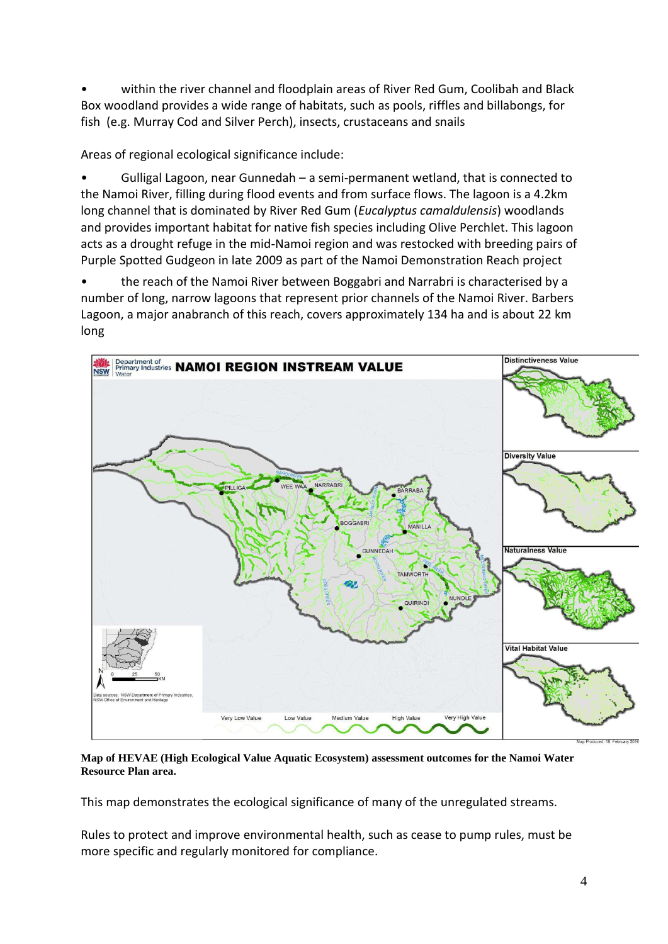• within the river channel and floodplain areas of River Red Gum, Coolibah and Black Box woodland provides a wide range of habitats, such as pools, riffles and billabongs, for fish (e.g. Murray Cod and Silver Perch), insects, crustaceans and snails

Areas of regional ecological significance include:

• Gulligal Lagoon, near Gunnedah – a semi-permanent wetland, that is connected to the Namoi River, filling during flood events and from surface flows. The lagoon is a 4.2km long channel that is dominated by River Red Gum (*Eucalyptus camaldulensis*) woodlands and provides important habitat for native fish species including Olive Perchlet. This lagoon acts as a drought refuge in the mid-Namoi region and was restocked with breeding pairs of Purple Spotted Gudgeon in late 2009 as part of the Namoi Demonstration Reach project

• the reach of the Namoi River between Boggabri and Narrabri is characterised by a number of long, narrow lagoons that represent prior channels of the Namoi River. Barbers Lagoon, a major anabranch of this reach, covers approximately 134 ha and is about 22 km long



**Map of HEVAE (High Ecological Value Aquatic Ecosystem) assessment outcomes for the Namoi Water Resource Plan area.**

This map demonstrates the ecological significance of many of the unregulated streams.

Rules to protect and improve environmental health, such as cease to pump rules, must be more specific and regularly monitored for compliance.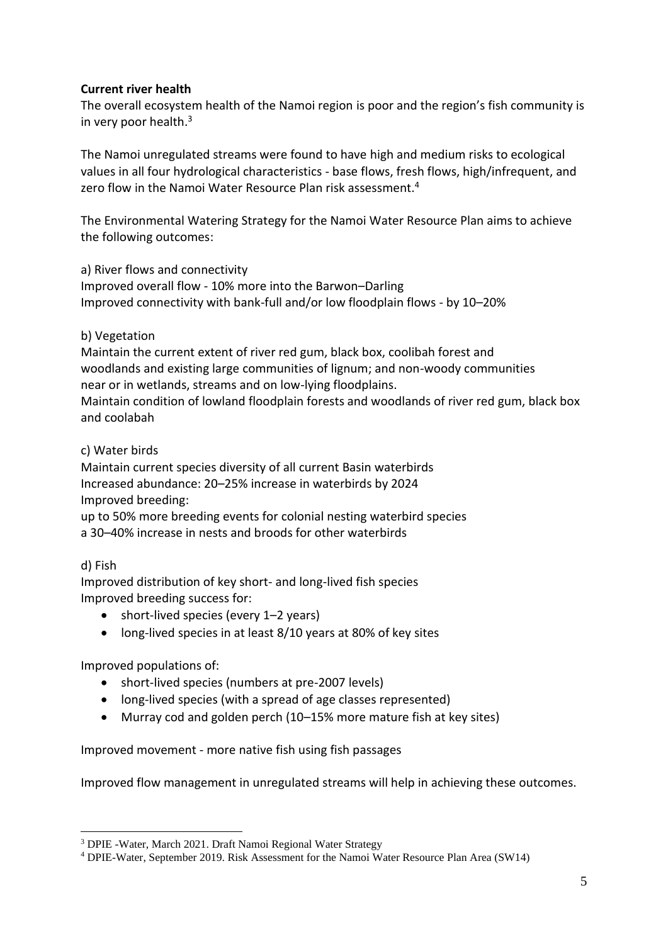### **Current river health**

The overall ecosystem health of the Namoi region is poor and the region's fish community is in very poor health. $3$ 

The Namoi unregulated streams were found to have high and medium risks to ecological values in all four hydrological characteristics - base flows, fresh flows, high/infrequent, and zero flow in the Namoi Water Resource Plan risk assessment.<sup>4</sup>

The Environmental Watering Strategy for the Namoi Water Resource Plan aims to achieve the following outcomes:

a) River flows and connectivity Improved overall flow - 10% more into the Barwon–Darling Improved connectivity with bank-full and/or low floodplain flows - by 10–20%

### b) Vegetation

Maintain the current extent of river red gum, black box, coolibah forest and woodlands and existing large communities of lignum; and non-woody communities near or in wetlands, streams and on low-lying floodplains. Maintain condition of lowland floodplain forests and woodlands of river red gum, black box and coolabah

### c) Water birds

Maintain current species diversity of all current Basin waterbirds Increased abundance: 20–25% increase in waterbirds by 2024 Improved breeding:

up to 50% more breeding events for colonial nesting waterbird species a 30–40% increase in nests and broods for other waterbirds

#### d) Fish

Improved distribution of key short- and long-lived fish species Improved breeding success for:

- short-lived species (every 1-2 years)
- long-lived species in at least 8/10 years at 80% of key sites

### Improved populations of:

- short-lived species (numbers at pre-2007 levels)
- long-lived species (with a spread of age classes represented)
- Murray cod and golden perch (10–15% more mature fish at key sites)

Improved movement - more native fish using fish passages

Improved flow management in unregulated streams will help in achieving these outcomes.

<sup>3</sup> DPIE -Water, March 2021. Draft Namoi Regional Water Strategy

<sup>4</sup> DPIE-Water, September 2019. Risk Assessment for the Namoi Water Resource Plan Area (SW14)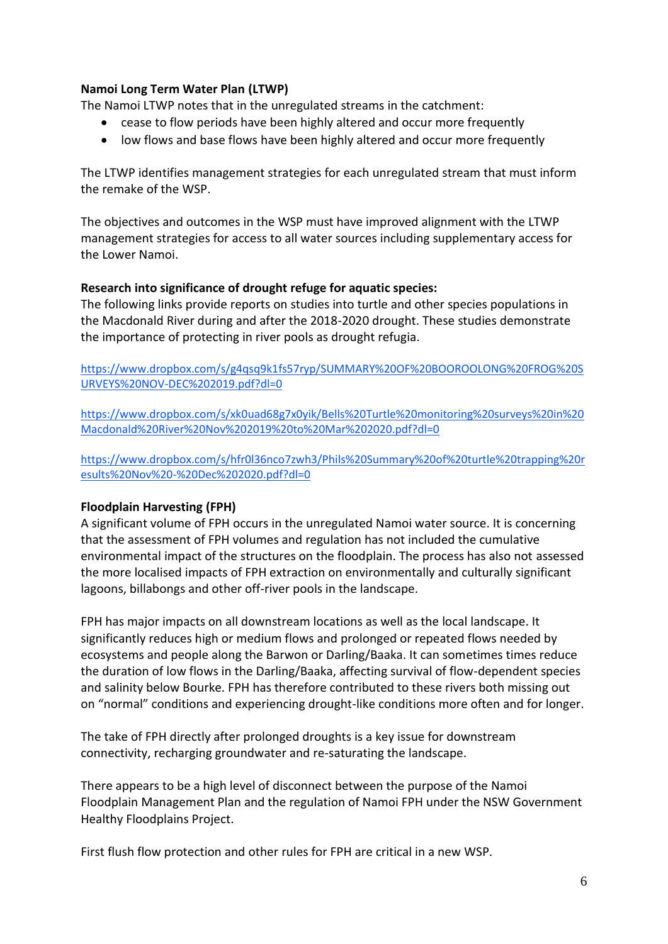### **Namoi Long Term Water Plan (LTWP)**

The Namoi LTWP notes that in the unregulated streams in the catchment:

- cease to flow periods have been highly altered and occur more frequently
- low flows and base flows have been highly altered and occur more frequently

The LTWP identifies management strategies for each unregulated stream that must inform the remake of the WSP.

The objectives and outcomes in the WSP must have improved alignment with the LTWP management strategies for access to all water sources including supplementary access for the Lower Namoi.

#### **Research into significance of drought refuge for aquatic species:**

The following links provide reports on studies into turtle and other species populations in the Macdonald River during and after the 2018-2020 drought. These studies demonstrate the importance of protecting in river pools as drought refugia.

[https://www.dropbox.com/s/g4qsq9k1fs57ryp/SUMMARY%20OF%20BOOROOLONG%20FROG%20S](https://www.dropbox.com/s/g4qsq9k1fs57ryp/SUMMARY%20OF%20BOOROOLONG%20FROG%20SURVEYS%20NOV-DEC%202019.pdf?dl=0) [URVEYS%20NOV-DEC%202019.pdf?dl=0](https://www.dropbox.com/s/g4qsq9k1fs57ryp/SUMMARY%20OF%20BOOROOLONG%20FROG%20SURVEYS%20NOV-DEC%202019.pdf?dl=0)

[https://www.dropbox.com/s/xk0uad68g7x0yik/Bells%20Turtle%20monitoring%20surveys%20in%20](https://www.dropbox.com/s/xk0uad68g7x0yik/Bells%20Turtle%20monitoring%20surveys%20in%20Macdonald%20River%20Nov%202019%20to%20Mar%202020.pdf?dl=0) [Macdonald%20River%20Nov%202019%20to%20Mar%202020.pdf?dl=0](https://www.dropbox.com/s/xk0uad68g7x0yik/Bells%20Turtle%20monitoring%20surveys%20in%20Macdonald%20River%20Nov%202019%20to%20Mar%202020.pdf?dl=0)

[https://www.dropbox.com/s/hfr0l36nco7zwh3/Phils%20Summary%20of%20turtle%20trapping%20r](https://www.dropbox.com/s/hfr0l36nco7zwh3/Phils%20Summary%20of%20turtle%20trapping%20results%20Nov%20-%20Dec%202020.pdf?dl=0) [esults%20Nov%20-%20Dec%202020.pdf?dl=0](https://www.dropbox.com/s/hfr0l36nco7zwh3/Phils%20Summary%20of%20turtle%20trapping%20results%20Nov%20-%20Dec%202020.pdf?dl=0)

### **Floodplain Harvesting (FPH)**

A significant volume of FPH occurs in the unregulated Namoi water source. It is concerning that the assessment of FPH volumes and regulation has not included the cumulative environmental impact of the structures on the floodplain. The process has also not assessed the more localised impacts of FPH extraction on environmentally and culturally significant lagoons, billabongs and other off-river pools in the landscape.

FPH has major impacts on all downstream locations as well as the local landscape. It significantly reduces high or medium flows and prolonged or repeated flows needed by ecosystems and people along the Barwon or Darling/Baaka. It can sometimes times reduce the duration of low flows in the Darling/Baaka, affecting survival of flow-dependent species and salinity below Bourke. FPH has therefore contributed to these rivers both missing out on "normal" conditions and experiencing drought-like conditions more often and for longer.

The take of FPH directly after prolonged droughts is a key issue for downstream connectivity, recharging groundwater and re-saturating the landscape.

There appears to be a high level of disconnect between the purpose of the Namoi Floodplain Management Plan and the regulation of Namoi FPH under the NSW Government Healthy Floodplains Project.

First flush flow protection and other rules for FPH are critical in a new WSP.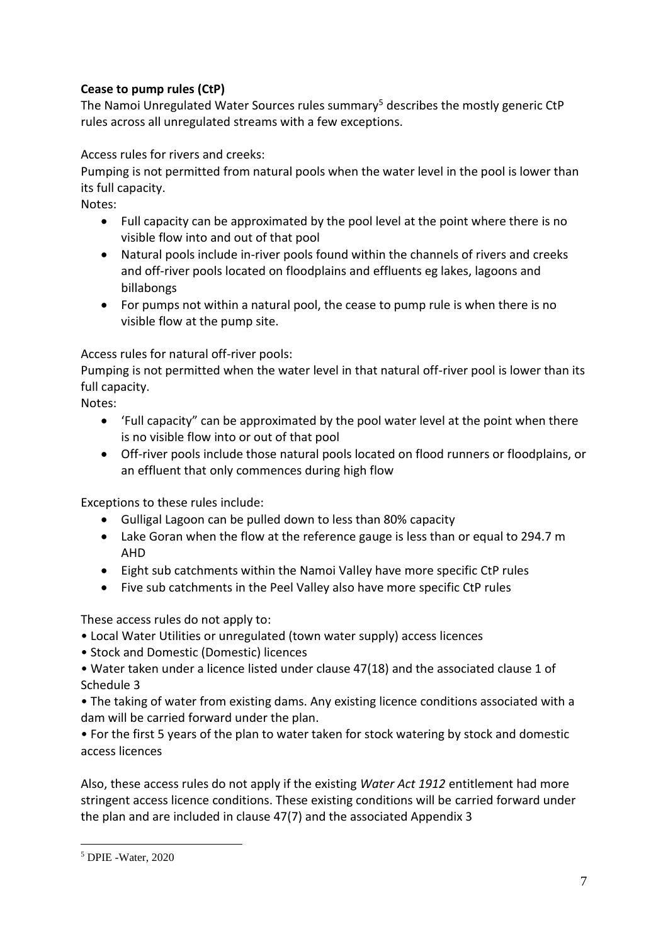# **Cease to pump rules (CtP)**

The Namoi Unregulated Water Sources rules summary<sup>5</sup> describes the mostly generic CtP rules across all unregulated streams with a few exceptions.

Access rules for rivers and creeks:

Pumping is not permitted from natural pools when the water level in the pool is lower than its full capacity.

Notes:

- Full capacity can be approximated by the pool level at the point where there is no visible flow into and out of that pool
- Natural pools include in-river pools found within the channels of rivers and creeks and off-river pools located on floodplains and effluents eg lakes, lagoons and billabongs
- For pumps not within a natural pool, the cease to pump rule is when there is no visible flow at the pump site.

Access rules for natural off-river pools:

Pumping is not permitted when the water level in that natural off-river pool is lower than its full capacity.

Notes:

- 'Full capacity" can be approximated by the pool water level at the point when there is no visible flow into or out of that pool
- Off-river pools include those natural pools located on flood runners or floodplains, or an effluent that only commences during high flow

Exceptions to these rules include:

- Gulligal Lagoon can be pulled down to less than 80% capacity
- Lake Goran when the flow at the reference gauge is less than or equal to 294.7 m AHD
- Eight sub catchments within the Namoi Valley have more specific CtP rules
- Five sub catchments in the Peel Valley also have more specific CtP rules

These access rules do not apply to:

- Local Water Utilities or unregulated (town water supply) access licences
- Stock and Domestic (Domestic) licences
- Water taken under a licence listed under clause 47(18) and the associated clause 1 of Schedule 3

• The taking of water from existing dams. Any existing licence conditions associated with a dam will be carried forward under the plan.

• For the first 5 years of the plan to water taken for stock watering by stock and domestic access licences

Also, these access rules do not apply if the existing *Water Act 1912* entitlement had more stringent access licence conditions. These existing conditions will be carried forward under the plan and are included in clause 47(7) and the associated Appendix 3

<sup>5</sup> DPIE -Water, 2020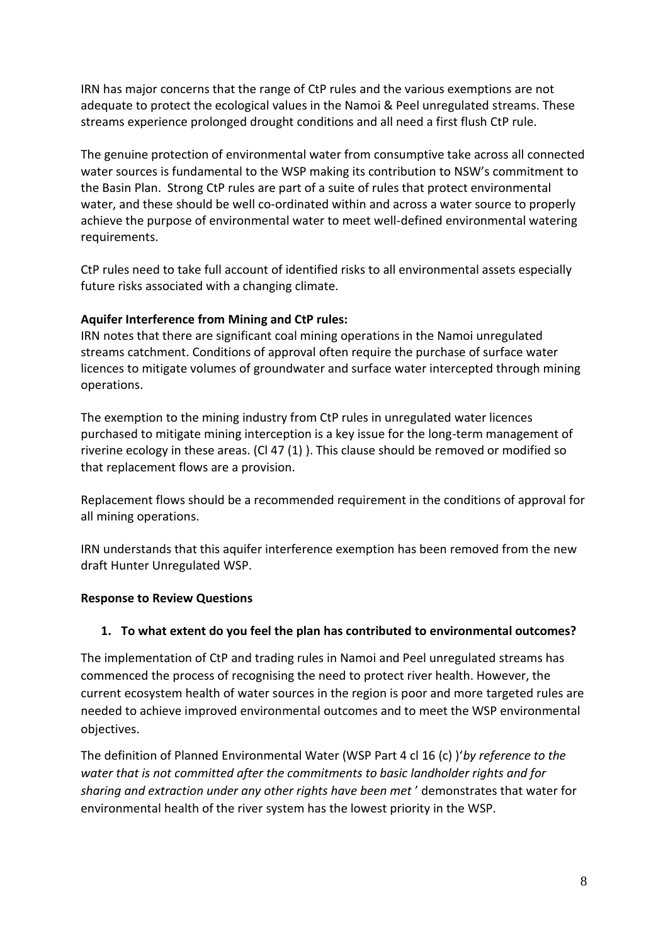IRN has major concerns that the range of CtP rules and the various exemptions are not adequate to protect the ecological values in the Namoi & Peel unregulated streams. These streams experience prolonged drought conditions and all need a first flush CtP rule.

The genuine protection of environmental water from consumptive take across all connected water sources is fundamental to the WSP making its contribution to NSW's commitment to the Basin Plan. Strong CtP rules are part of a suite of rules that protect environmental water, and these should be well co-ordinated within and across a water source to properly achieve the purpose of environmental water to meet well-defined environmental watering requirements.

CtP rules need to take full account of identified risks to all environmental assets especially future risks associated with a changing climate.

### **Aquifer Interference from Mining and CtP rules:**

IRN notes that there are significant coal mining operations in the Namoi unregulated streams catchment. Conditions of approval often require the purchase of surface water licences to mitigate volumes of groundwater and surface water intercepted through mining operations.

The exemption to the mining industry from CtP rules in unregulated water licences purchased to mitigate mining interception is a key issue for the long-term management of riverine ecology in these areas. (Cl 47 (1) ). This clause should be removed or modified so that replacement flows are a provision.

Replacement flows should be a recommended requirement in the conditions of approval for all mining operations.

IRN understands that this aquifer interference exemption has been removed from the new draft Hunter Unregulated WSP.

### **Response to Review Questions**

### **1. To what extent do you feel the plan has contributed to environmental outcomes?**

The implementation of CtP and trading rules in Namoi and Peel unregulated streams has commenced the process of recognising the need to protect river health. However, the current ecosystem health of water sources in the region is poor and more targeted rules are needed to achieve improved environmental outcomes and to meet the WSP environmental objectives.

The definition of Planned Environmental Water (WSP Part 4 cl 16 (c) )'*by reference to the water that is not committed after the commitments to basic landholder rights and for sharing and extraction under any other rights have been met* ' demonstrates that water for environmental health of the river system has the lowest priority in the WSP.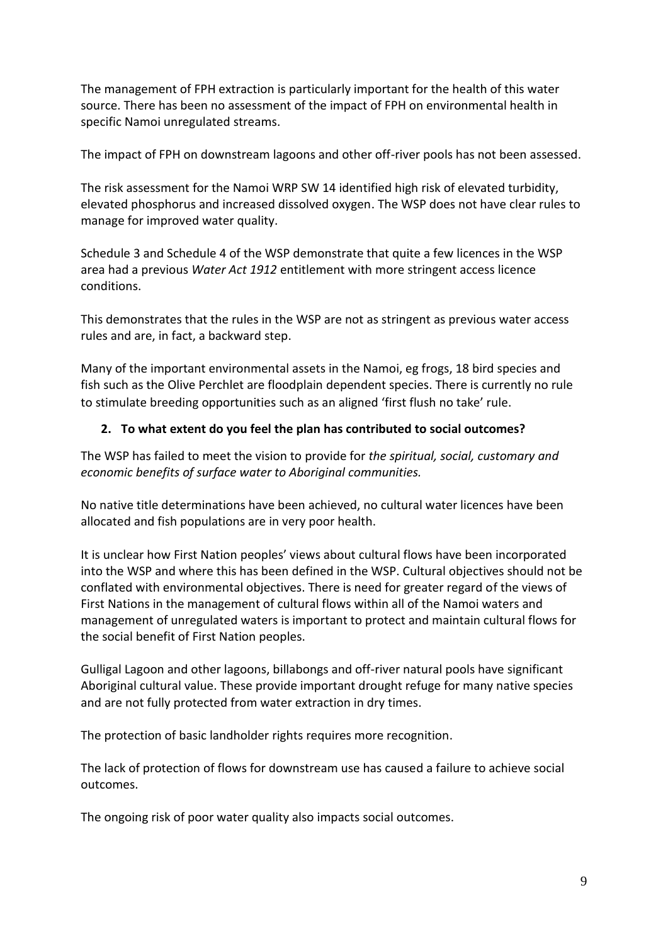The management of FPH extraction is particularly important for the health of this water source. There has been no assessment of the impact of FPH on environmental health in specific Namoi unregulated streams.

The impact of FPH on downstream lagoons and other off-river pools has not been assessed.

The risk assessment for the Namoi WRP SW 14 identified high risk of elevated turbidity, elevated phosphorus and increased dissolved oxygen. The WSP does not have clear rules to manage for improved water quality.

Schedule 3 and Schedule 4 of the WSP demonstrate that quite a few licences in the WSP area had a previous *Water Act 1912* entitlement with more stringent access licence conditions.

This demonstrates that the rules in the WSP are not as stringent as previous water access rules and are, in fact, a backward step.

Many of the important environmental assets in the Namoi, eg frogs, 18 bird species and fish such as the Olive Perchlet are floodplain dependent species. There is currently no rule to stimulate breeding opportunities such as an aligned 'first flush no take' rule.

# **2. To what extent do you feel the plan has contributed to social outcomes?**

The WSP has failed to meet the vision to provide for *the spiritual, social, customary and economic benefits of surface water to Aboriginal communities.*

No native title determinations have been achieved, no cultural water licences have been allocated and fish populations are in very poor health.

It is unclear how First Nation peoples' views about cultural flows have been incorporated into the WSP and where this has been defined in the WSP. Cultural objectives should not be conflated with environmental objectives. There is need for greater regard of the views of First Nations in the management of cultural flows within all of the Namoi waters and management of unregulated waters is important to protect and maintain cultural flows for the social benefit of First Nation peoples.

Gulligal Lagoon and other lagoons, billabongs and off-river natural pools have significant Aboriginal cultural value. These provide important drought refuge for many native species and are not fully protected from water extraction in dry times.

The protection of basic landholder rights requires more recognition.

The lack of protection of flows for downstream use has caused a failure to achieve social outcomes.

The ongoing risk of poor water quality also impacts social outcomes.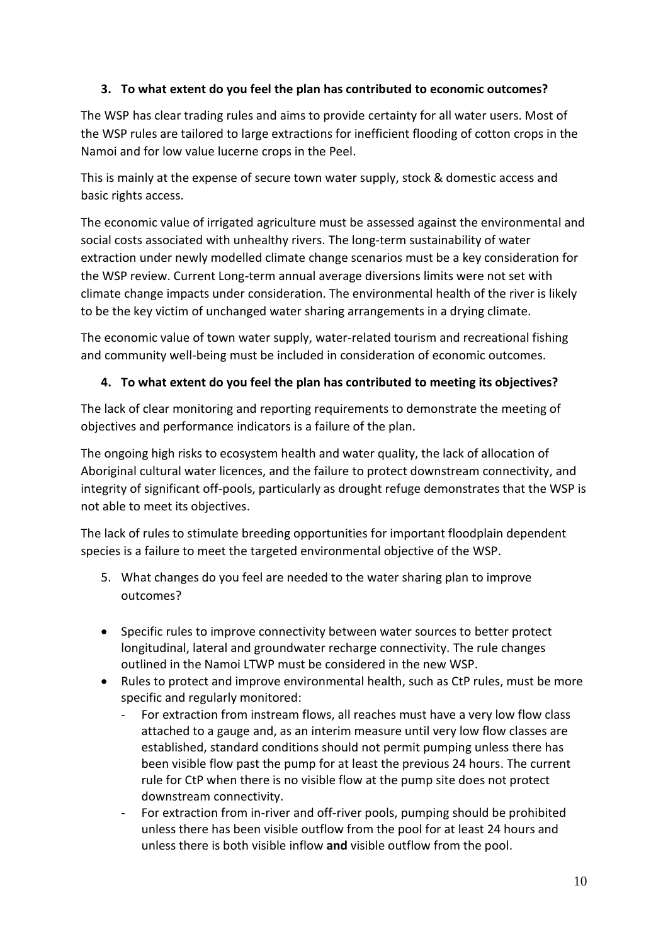# **3. To what extent do you feel the plan has contributed to economic outcomes?**

The WSP has clear trading rules and aims to provide certainty for all water users. Most of the WSP rules are tailored to large extractions for inefficient flooding of cotton crops in the Namoi and for low value lucerne crops in the Peel.

This is mainly at the expense of secure town water supply, stock & domestic access and basic rights access.

The economic value of irrigated agriculture must be assessed against the environmental and social costs associated with unhealthy rivers. The long-term sustainability of water extraction under newly modelled climate change scenarios must be a key consideration for the WSP review. Current Long-term annual average diversions limits were not set with climate change impacts under consideration. The environmental health of the river is likely to be the key victim of unchanged water sharing arrangements in a drying climate.

The economic value of town water supply, water-related tourism and recreational fishing and community well-being must be included in consideration of economic outcomes.

# **4. To what extent do you feel the plan has contributed to meeting its objectives?**

The lack of clear monitoring and reporting requirements to demonstrate the meeting of objectives and performance indicators is a failure of the plan.

The ongoing high risks to ecosystem health and water quality, the lack of allocation of Aboriginal cultural water licences, and the failure to protect downstream connectivity, and integrity of significant off-pools, particularly as drought refuge demonstrates that the WSP is not able to meet its objectives.

The lack of rules to stimulate breeding opportunities for important floodplain dependent species is a failure to meet the targeted environmental objective of the WSP.

- 5. What changes do you feel are needed to the water sharing plan to improve outcomes?
- Specific rules to improve connectivity between water sources to better protect longitudinal, lateral and groundwater recharge connectivity. The rule changes outlined in the Namoi LTWP must be considered in the new WSP.
- Rules to protect and improve environmental health, such as CtP rules, must be more specific and regularly monitored:
	- For extraction from instream flows, all reaches must have a very low flow class attached to a gauge and, as an interim measure until very low flow classes are established, standard conditions should not permit pumping unless there has been visible flow past the pump for at least the previous 24 hours. The current rule for CtP when there is no visible flow at the pump site does not protect downstream connectivity.
	- For extraction from in-river and off-river pools, pumping should be prohibited unless there has been visible outflow from the pool for at least 24 hours and unless there is both visible inflow **and** visible outflow from the pool.